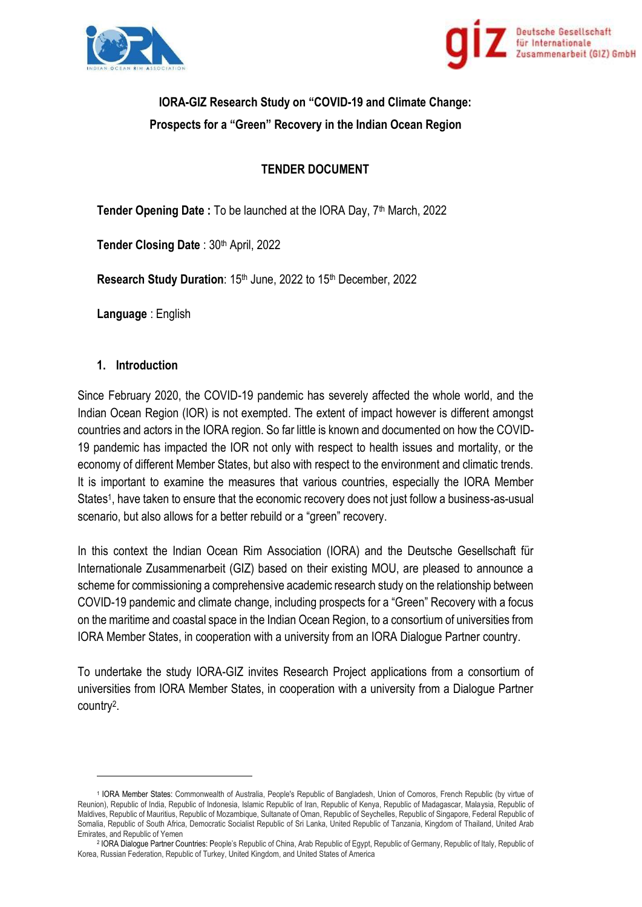



# **IORA-GIZ Research Study on "COVID-19 and Climate Change: Prospects for a "Green" Recovery in the Indian Ocean Region**

# **TENDER DOCUMENT**

**Tender Opening Date :** To be launched at the IORA Day, 7<sup>th</sup> March, 2022

Tender Closing Date: 30<sup>th</sup> April, 2022

**Research Study Duration: 15th June, 2022 to 15th December, 2022.** 

**Language** : English

#### **1. Introduction**

Since February 2020, the COVID-19 pandemic has severely affected the whole world, and the Indian Ocean Region (IOR) is not exempted. The extent of impact however is different amongst countries and actors in the IORA region. So far little is known and documented on how the COVID-19 pandemic has impacted the IOR not only with respect to health issues and mortality, or the economy of different Member States, but also with respect to the environment and climatic trends. It is important to examine the measures that various countries, especially the IORA Member States<sup>1</sup>, have taken to ensure that the economic recovery does not just follow a business-as-usual scenario, but also allows for a better rebuild or a "green" recovery.

In this context the Indian Ocean Rim Association (IORA) and the Deutsche Gesellschaft für Internationale Zusammenarbeit (GIZ) based on their existing MOU, are pleased to announce a scheme for commissioning a comprehensive academic research study on the relationship between COVID-19 pandemic and climate change, including prospects for a "Green" Recovery with a focus on the maritime and coastal space in the Indian Ocean Region, to a consortium of universities from IORA Member States, in cooperation with a university from an IORA Dialogue Partner country.

To undertake the study IORA-GIZ invites Research Project applications from a consortium of universities from IORA Member States, in cooperation with a university from a Dialogue Partner country<sup>2</sup> .

<sup>1</sup> IORA Member States: Commonwealth of Australia, People's Republic of Bangladesh, Union of Comoros, French Republic (by virtue of Reunion), Republic of India, Republic of Indonesia, Islamic Republic of Iran, Republic of Kenya, Republic of Madagascar, Malaysia, Republic of Maldives, Republic of Mauritius, Republic of Mozambique, Sultanate of Oman, Republic of Seychelles, Republic of Singapore, Federal Republic of Somalia, Republic of South Africa, Democratic Socialist Republic of Sri Lanka, United Republic of Tanzania, Kingdom of Thailand, United Arab Emirates, and Republic of Yemen

<sup>2</sup> IORA Dialogue Partner Countries: People's Republic of China, Arab Republic of Egypt, Republic of Germany, Republic of Italy, Republic of Korea, Russian Federation, Republic of Turkey, United Kingdom, and United States of America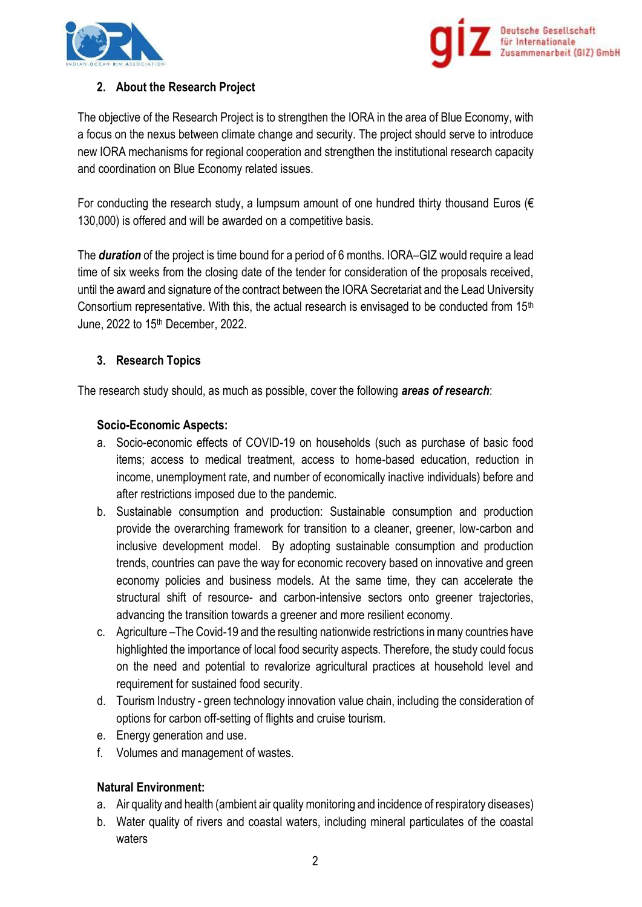



### **2. About the Research Project**

The objective of the Research Project is to strengthen the IORA in the area of Blue Economy, with a focus on the nexus between climate change and security. The project should serve to introduce new IORA mechanisms for regional cooperation and strengthen the institutional research capacity and coordination on Blue Economy related issues.

For conducting the research study, a lumpsum amount of one hundred thirty thousand Euros ( $\epsilon$ 130,000) is offered and will be awarded on a competitive basis.

The *duration* of the project is time bound for a period of 6 months. IORA–GIZ would require a lead time of six weeks from the closing date of the tender for consideration of the proposals received, until the award and signature of the contract between the IORA Secretariat and the Lead University Consortium representative. With this, the actual research is envisaged to be conducted from 15<sup>th</sup> June, 2022 to 15th December, 2022.

#### **3. Research Topics**

The research study should, as much as possible, cover the following *areas of research*:

#### **Socio-Economic Aspects:**

- a. Socio-economic effects of COVID-19 on households (such as purchase of basic food items; access to medical treatment, access to home-based education, reduction in income, unemployment rate, and number of economically inactive individuals) before and after restrictions imposed due to the pandemic.
- b. Sustainable consumption and production: Sustainable consumption and production provide the overarching framework for transition to a cleaner, greener, low-carbon and inclusive development model. By adopting sustainable consumption and production trends, countries can pave the way for economic recovery based on innovative and green economy policies and business models. At the same time, they can accelerate the structural shift of resource- and carbon-intensive sectors onto greener trajectories, advancing the transition towards a greener and more resilient economy.
- c. Agriculture –The Covid-19 and the resulting nationwide restrictions in many countries have highlighted the importance of local food security aspects. Therefore, the study could focus on the need and potential to revalorize agricultural practices at household level and requirement for sustained food security.
- d. Tourism Industry green technology innovation value chain, including the consideration of options for carbon off-setting of flights and cruise tourism.
- e. Energy generation and use.
- f. Volumes and management of wastes.

#### **Natural Environment:**

- a. Air quality and health (ambient air quality monitoring and incidence of respiratory diseases)
- b. Water quality of rivers and coastal waters, including mineral particulates of the coastal waters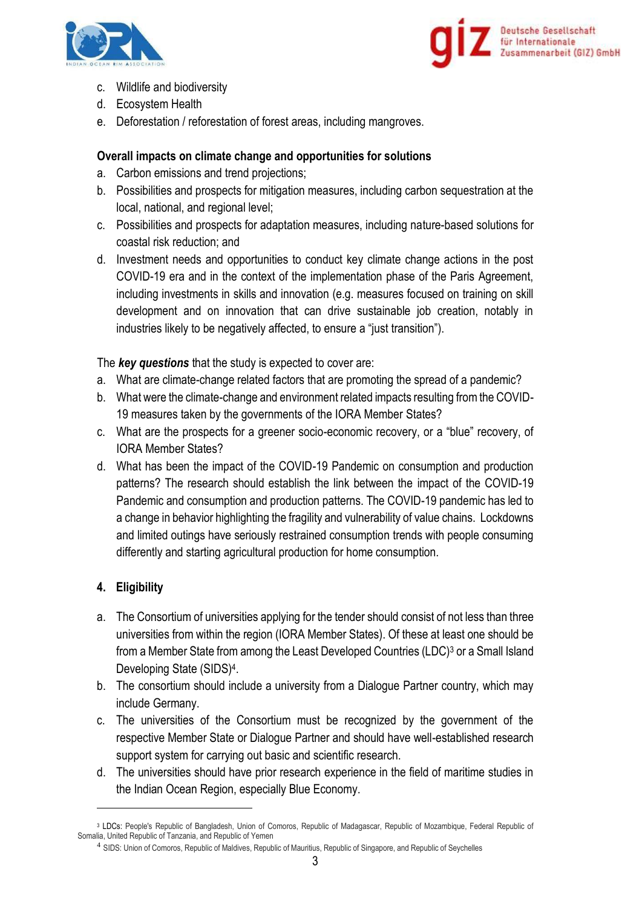



- c. Wildlife and biodiversity
- d. Ecosystem Health
- e. Deforestation / reforestation of forest areas, including mangroves.

#### **Overall impacts on climate change and opportunities for solutions**

- a. Carbon emissions and trend projections;
- b. Possibilities and prospects for mitigation measures, including carbon sequestration at the local, national, and regional level;
- c. Possibilities and prospects for adaptation measures, including nature-based solutions for coastal risk reduction; and
- d. Investment needs and opportunities to conduct key climate change actions in the post COVID-19 era and in the context of the implementation phase of the Paris Agreement, including investments in skills and innovation (e.g. measures focused on training on skill development and on innovation that can drive sustainable job creation, notably in industries likely to be negatively affected, to ensure a "just transition").

The *key questions* that the study is expected to cover are:

- a. What are climate-change related factors that are promoting the spread of a pandemic?
- b. What were the climate-change and environment related impacts resulting from the COVID-19 measures taken by the governments of the IORA Member States?
- c. What are the prospects for a greener socio-economic recovery, or a "blue" recovery, of IORA Member States?
- d. What has been the impact of the COVID-19 Pandemic on consumption and production patterns? The research should establish the link between the impact of the COVID-19 Pandemic and consumption and production patterns. The COVID-19 pandemic has led to a change in behavior highlighting the fragility and vulnerability of value chains. Lockdowns and limited outings have seriously restrained consumption trends with people consuming differently and starting agricultural production for home consumption.

## **4. Eligibility**

- a. The Consortium of universities applying for the tender should consist of not less than three universities from within the region (IORA Member States). Of these at least one should be from a Member State from among the Least Developed Countries (LDC)<sup>3</sup> or a Small Island Developing State (SIDS)<sup>4</sup> .
- b. The consortium should include a university from a Dialogue Partner country, which may include Germany.
- c. The universities of the Consortium must be recognized by the government of the respective Member State or Dialogue Partner and should have well-established research support system for carrying out basic and scientific research.
- d. The universities should have prior research experience in the field of maritime studies in the Indian Ocean Region, especially Blue Economy.

<sup>3</sup> LDCs: People's Republic of Bangladesh, Union of Comoros, Republic of Madagascar, Republic of Mozambique, Federal Republic of Somalia, United Republic of Tanzania, and Republic of Yemen

<sup>&</sup>lt;sup>4</sup> SIDS: Union of Comoros, Republic of Maldives, Republic of Mauritius, Republic of Singapore, and Republic of Seychelles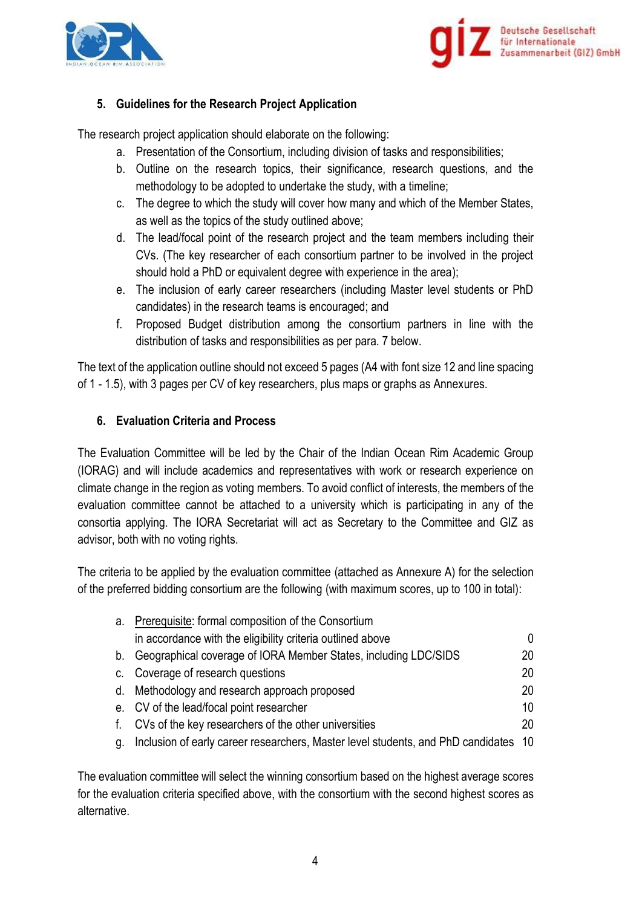



### **5. Guidelines for the Research Project Application**

The research project application should elaborate on the following:

- a. Presentation of the Consortium, including division of tasks and responsibilities;
- b. Outline on the research topics, their significance, research questions, and the methodology to be adopted to undertake the study, with a timeline;
- c. The degree to which the study will cover how many and which of the Member States, as well as the topics of the study outlined above;
- d. The lead/focal point of the research project and the team members including their CVs. (The key researcher of each consortium partner to be involved in the project should hold a PhD or equivalent degree with experience in the area);
- e. The inclusion of early career researchers (including Master level students or PhD candidates) in the research teams is encouraged; and
- f. Proposed Budget distribution among the consortium partners in line with the distribution of tasks and responsibilities as per para. 7 below.

The text of the application outline should not exceed 5 pages (A4 with font size 12 and line spacing of 1 - 1.5), with 3 pages per CV of key researchers, plus maps or graphs as Annexures.

#### **6. Evaluation Criteria and Process**

The Evaluation Committee will be led by the Chair of the Indian Ocean Rim Academic Group (IORAG) and will include academics and representatives with work or research experience on climate change in the region as voting members. To avoid conflict of interests, the members of the evaluation committee cannot be attached to a university which is participating in any of the consortia applying. The IORA Secretariat will act as Secretary to the Committee and GIZ as advisor, both with no voting rights.

The criteria to be applied by the evaluation committee (attached as Annexure A) for the selection of the preferred bidding consortium are the following (with maximum scores, up to 100 in total):

|    | a. Prerequisite: formal composition of the Consortium                               |     |  |
|----|-------------------------------------------------------------------------------------|-----|--|
|    | in accordance with the eligibility criteria outlined above                          | 0   |  |
|    | b. Geographical coverage of IORA Member States, including LDC/SIDS                  | 20. |  |
|    | c. Coverage of research questions                                                   | 20  |  |
|    | d. Methodology and research approach proposed                                       | 20  |  |
|    | e. CV of the lead/focal point researcher                                            | 10  |  |
|    | f. CVs of the key researchers of the other universities                             | 20  |  |
| q. | Inclusion of early career researchers, Master level students, and PhD candidates 10 |     |  |

The evaluation committee will select the winning consortium based on the highest average scores for the evaluation criteria specified above, with the consortium with the second highest scores as alternative.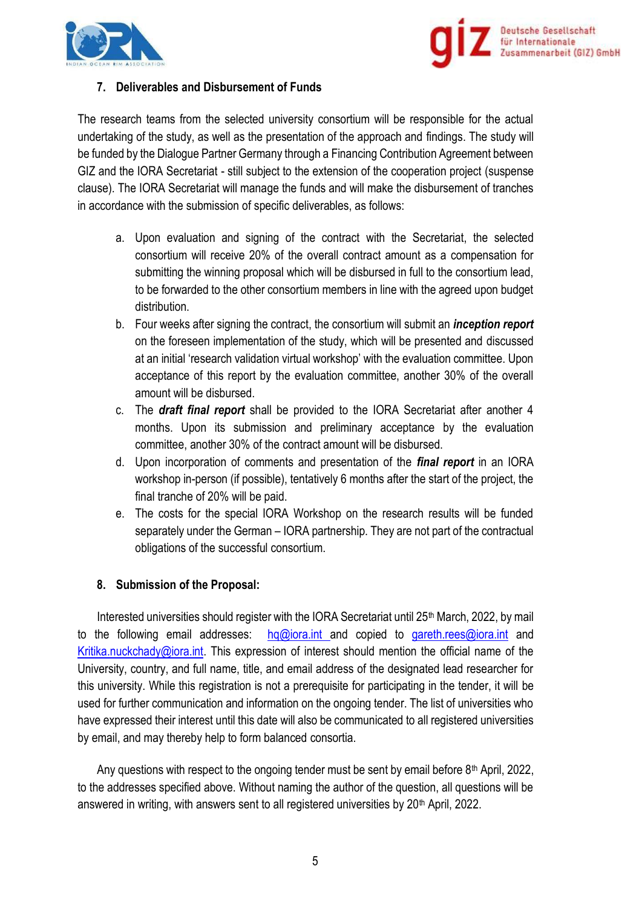



#### **7. Deliverables and Disbursement of Funds**

The research teams from the selected university consortium will be responsible for the actual undertaking of the study, as well as the presentation of the approach and findings. The study will be funded by the Dialogue Partner Germany through a Financing Contribution Agreement between GIZ and the IORA Secretariat - still subject to the extension of the cooperation project (suspense clause). The IORA Secretariat will manage the funds and will make the disbursement of tranches in accordance with the submission of specific deliverables, as follows:

- a. Upon evaluation and signing of the contract with the Secretariat, the selected consortium will receive 20% of the overall contract amount as a compensation for submitting the winning proposal which will be disbursed in full to the consortium lead, to be forwarded to the other consortium members in line with the agreed upon budget distribution.
- b. Four weeks after signing the contract, the consortium will submit an *inception report* on the foreseen implementation of the study, which will be presented and discussed at an initial 'research validation virtual workshop' with the evaluation committee. Upon acceptance of this report by the evaluation committee, another 30% of the overall amount will be disbursed.
- c. The *draft final report* shall be provided to the IORA Secretariat after another 4 months. Upon its submission and preliminary acceptance by the evaluation committee, another 30% of the contract amount will be disbursed.
- d. Upon incorporation of comments and presentation of the *final report* in an IORA workshop in-person (if possible), tentatively 6 months after the start of the project, the final tranche of 20% will be paid.
- e. The costs for the special IORA Workshop on the research results will be funded separately under the German – IORA partnership. They are not part of the contractual obligations of the successful consortium.

#### **8. Submission of the Proposal:**

Interested universities should register with the IORA Secretariat until 25<sup>th</sup> March, 2022, by mail to the following email addresses: hg@iora.int and copied to [gareth.rees@iora.int](mailto:gareth.rees@iora.int) and [Kritika.nuckchady@iora.int.](mailto:Kritika.nuckchady@iora.int) This expression of interest should mention the official name of the University, country, and full name, title, and email address of the designated lead researcher for this university. While this registration is not a prerequisite for participating in the tender, it will be used for further communication and information on the ongoing tender. The list of universities who have expressed their interest until this date will also be communicated to all registered universities by email, and may thereby help to form balanced consortia.

Any questions with respect to the ongoing tender must be sent by email before 8<sup>th</sup> April, 2022, to the addresses specified above. Without naming the author of the question, all questions will be answered in writing, with answers sent to all registered universities by 20<sup>th</sup> April, 2022.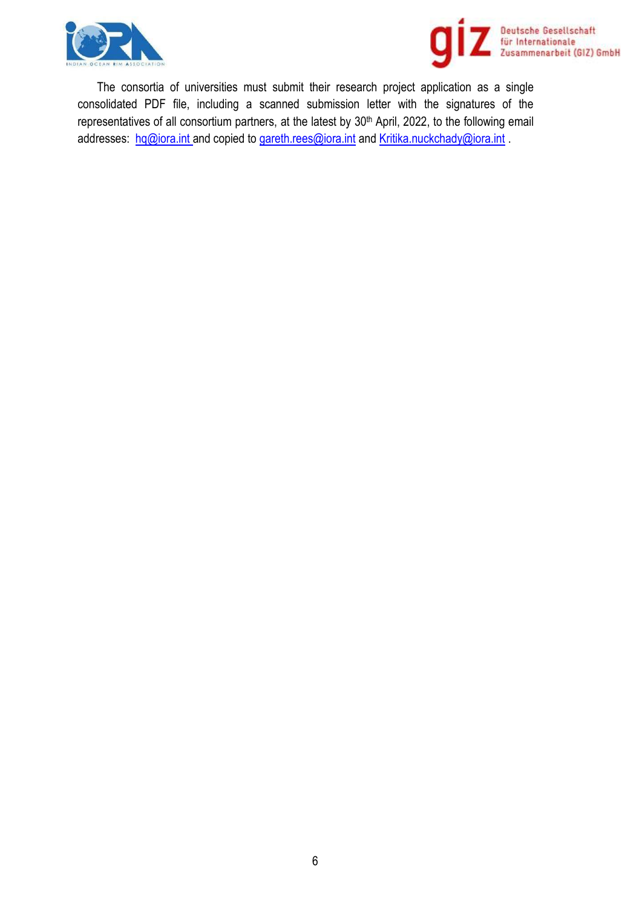



The consortia of universities must submit their research project application as a single consolidated PDF file, including a scanned submission letter with the signatures of the representatives of all consortium partners, at the latest by 30<sup>th</sup> April, 2022, to the following email addresses: [hq@iora.int](mailto:hq@iora.int) and copied to [gareth.rees@iora.int](mailto:gareth.rees@iora.int) and [Kritika.nuckchady@iora.int](mailto:Kritika.nuckchady@iora.int).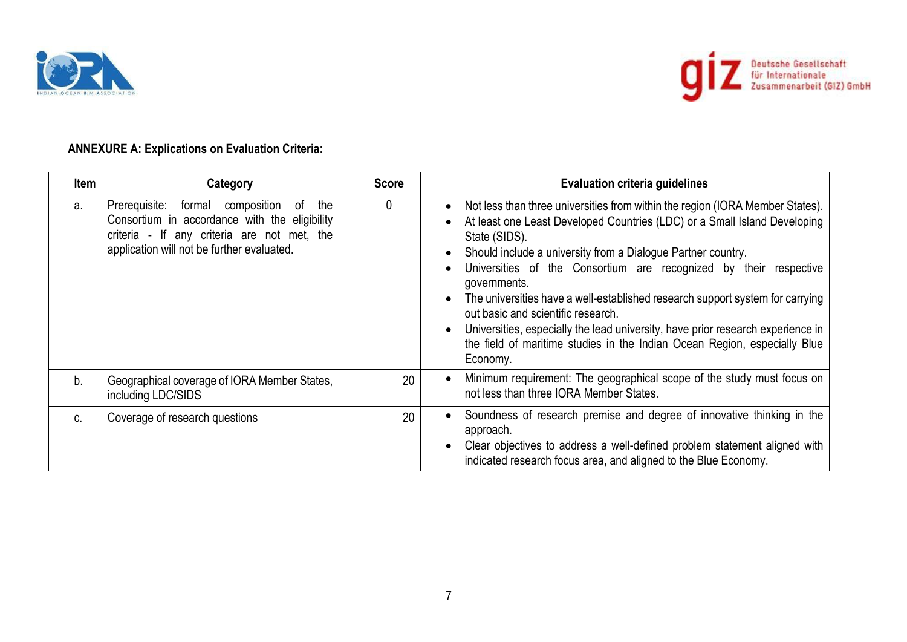



# **ANNEXURE A: Explications on Evaluation Criteria:**

| <b>Item</b>    | Category                                                                                                                                                                                    | <b>Score</b> | <b>Evaluation criteria guidelines</b>                                                                                                                                                                                                                                                                                                                                                                                                                                                                                                                                                                                               |
|----------------|---------------------------------------------------------------------------------------------------------------------------------------------------------------------------------------------|--------------|-------------------------------------------------------------------------------------------------------------------------------------------------------------------------------------------------------------------------------------------------------------------------------------------------------------------------------------------------------------------------------------------------------------------------------------------------------------------------------------------------------------------------------------------------------------------------------------------------------------------------------------|
| a.             | Prerequisite: formal composition<br>of<br>the<br>Consortium in accordance with the eligibility<br>criteria - If any criteria are not met, the<br>application will not be further evaluated. | 0            | Not less than three universities from within the region (IORA Member States).<br>At least one Least Developed Countries (LDC) or a Small Island Developing<br>State (SIDS).<br>Should include a university from a Dialogue Partner country.<br>Universities of the Consortium are recognized by their respective<br>governments.<br>The universities have a well-established research support system for carrying<br>out basic and scientific research.<br>Universities, especially the lead university, have prior research experience in<br>the field of maritime studies in the Indian Ocean Region, especially Blue<br>Economy. |
| b <sub>1</sub> | Geographical coverage of IORA Member States,<br>including LDC/SIDS                                                                                                                          | 20           | Minimum requirement: The geographical scope of the study must focus on<br>not less than three IORA Member States.                                                                                                                                                                                                                                                                                                                                                                                                                                                                                                                   |
| C.             | Coverage of research questions                                                                                                                                                              | 20           | Soundness of research premise and degree of innovative thinking in the<br>approach.<br>Clear objectives to address a well-defined problem statement aligned with<br>indicated research focus area, and aligned to the Blue Economy.                                                                                                                                                                                                                                                                                                                                                                                                 |